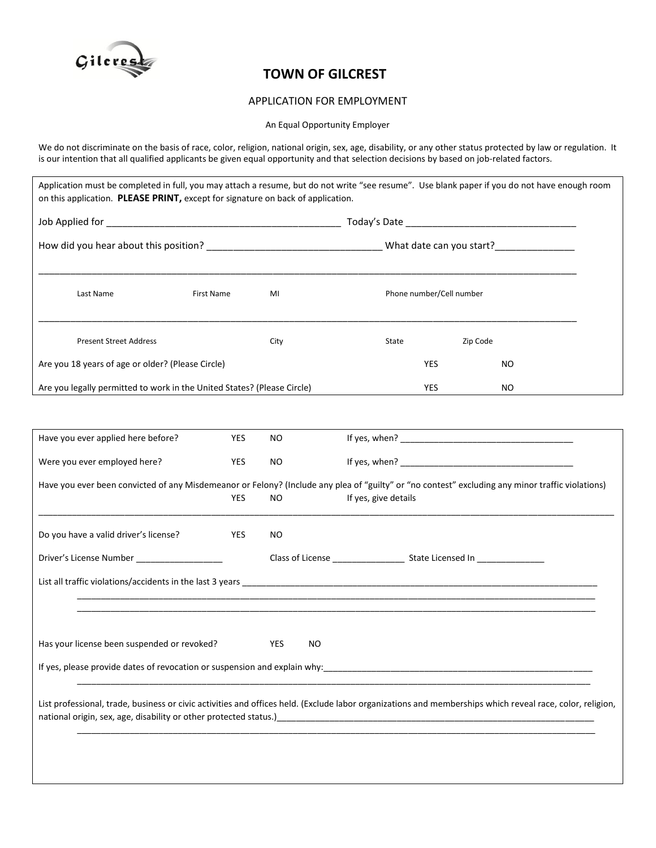

## **TOWN OF GILCREST**

## APPLICATION FOR EMPLOYMENT

An Equal Opportunity Employer

We do not discriminate on the basis of race, color, religion, national origin, sex, age, disability, or any other status protected by law or regulation. It is our intention that all qualified applicants be given equal opportunity and that selection decisions by based on job-related factors.

| How did you hear about this position? ___________________________________What date can you start?_____________ |                   |      |                          |  |          |
|----------------------------------------------------------------------------------------------------------------|-------------------|------|--------------------------|--|----------|
| Last Name                                                                                                      | <b>First Name</b> | MI   | Phone number/Cell number |  |          |
| <b>Present Street Address</b>                                                                                  |                   | City | State                    |  | Zip Code |
| Are you 18 years of age or older? (Please Circle)                                                              |                   |      | <b>YES</b>               |  | NO.      |
| Are you legally permitted to work in the United States? (Please Circle)                                        |                   |      | <b>YES</b>               |  | NO       |

| Have you ever applied here before?                                                                                                                        | <b>YES</b> | <b>NO</b>  |                                                                           |  |  |  |  |  |  |
|-----------------------------------------------------------------------------------------------------------------------------------------------------------|------------|------------|---------------------------------------------------------------------------|--|--|--|--|--|--|
| Were you ever employed here?                                                                                                                              | <b>YES</b> | <b>NO</b>  |                                                                           |  |  |  |  |  |  |
| Have you ever been convicted of any Misdemeanor or Felony? (Include any plea of "guilty" or "no contest" excluding any minor traffic violations)          |            |            |                                                                           |  |  |  |  |  |  |
|                                                                                                                                                           | <b>YES</b> | <b>NO</b>  | If yes, give details                                                      |  |  |  |  |  |  |
|                                                                                                                                                           |            |            |                                                                           |  |  |  |  |  |  |
| Do you have a valid driver's license?                                                                                                                     | <b>YES</b> | NO.        |                                                                           |  |  |  |  |  |  |
| Driver's License Number                                                                                                                                   |            |            |                                                                           |  |  |  |  |  |  |
|                                                                                                                                                           |            |            |                                                                           |  |  |  |  |  |  |
|                                                                                                                                                           |            |            |                                                                           |  |  |  |  |  |  |
|                                                                                                                                                           |            |            |                                                                           |  |  |  |  |  |  |
|                                                                                                                                                           |            |            |                                                                           |  |  |  |  |  |  |
| Has your license been suspended or revoked?                                                                                                               |            | YES<br>NO. |                                                                           |  |  |  |  |  |  |
|                                                                                                                                                           |            |            | If yes, please provide dates of revocation or suspension and explain why: |  |  |  |  |  |  |
|                                                                                                                                                           |            |            |                                                                           |  |  |  |  |  |  |
| List professional, trade, business or civic activities and offices held. (Exclude labor organizations and memberships which reveal race, color, religion, |            |            |                                                                           |  |  |  |  |  |  |
|                                                                                                                                                           |            |            |                                                                           |  |  |  |  |  |  |
|                                                                                                                                                           |            |            |                                                                           |  |  |  |  |  |  |
|                                                                                                                                                           |            |            |                                                                           |  |  |  |  |  |  |
|                                                                                                                                                           |            |            |                                                                           |  |  |  |  |  |  |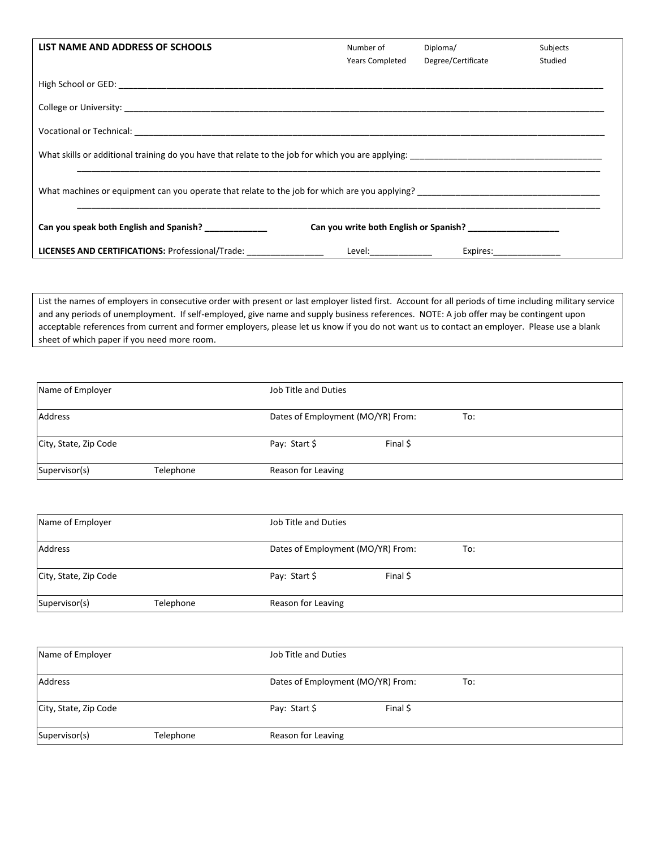| LIST NAME AND ADDRESS OF SCHOOLS                                                                                                                                                                                | Number of<br><b>Years Completed</b>                                                                                                                                                                                           | Diploma/<br>Degree/Certificate | Subjects<br>Studied |  |  |  |  |
|-----------------------------------------------------------------------------------------------------------------------------------------------------------------------------------------------------------------|-------------------------------------------------------------------------------------------------------------------------------------------------------------------------------------------------------------------------------|--------------------------------|---------------------|--|--|--|--|
|                                                                                                                                                                                                                 |                                                                                                                                                                                                                               |                                |                     |  |  |  |  |
|                                                                                                                                                                                                                 |                                                                                                                                                                                                                               |                                |                     |  |  |  |  |
|                                                                                                                                                                                                                 |                                                                                                                                                                                                                               |                                |                     |  |  |  |  |
|                                                                                                                                                                                                                 |                                                                                                                                                                                                                               |                                |                     |  |  |  |  |
| What machines or equipment can you operate that relate to the job for which are you applying?<br>Under the source of the second term and the second term and the second term and the second term and the second |                                                                                                                                                                                                                               |                                |                     |  |  |  |  |
| Can you speak both English and Spanish? ____________<br>Can you write both English or Spanish?                                                                                                                  |                                                                                                                                                                                                                               |                                |                     |  |  |  |  |
| LICENSES AND CERTIFICATIONS: Professional/Trade: _________________                                                                                                                                              | Level: when the control of the control of the control of the control of the control of the control of the control of the control of the control of the control of the control of the control of the control of the control of | Expires:_______________        |                     |  |  |  |  |

List the names of employers in consecutive order with present or last employer listed first. Account for all periods of time including military service and any periods of unemployment. If self-employed, give name and supply business references. NOTE: A job offer may be contingent upon acceptable references from current and former employers, please let us know if you do not want us to contact an employer. Please use a blank sheet of which paper if you need more room.

| Name of Employer      |           | Job Title and Duties              |          |     |
|-----------------------|-----------|-----------------------------------|----------|-----|
| Address               |           | Dates of Employment (MO/YR) From: |          | To: |
| City, State, Zip Code |           | Pay: Start \$                     | Final \$ |     |
| Supervisor(s)         | Telephone | Reason for Leaving                |          |     |

| Name of Employer      |           | Job Title and Duties              |          |     |  |
|-----------------------|-----------|-----------------------------------|----------|-----|--|
| Address               |           | Dates of Employment (MO/YR) From: |          | To: |  |
| City, State, Zip Code |           | Pay: Start \$                     | Final \$ |     |  |
| Supervisor(s)         | Telephone | Reason for Leaving                |          |     |  |

| Name of Employer      |           | Job Title and Duties |                                          |  |  |  |  |
|-----------------------|-----------|----------------------|------------------------------------------|--|--|--|--|
| Address               |           |                      | Dates of Employment (MO/YR) From:<br>To: |  |  |  |  |
| City, State, Zip Code |           | Pay: Start \$        | Final \$                                 |  |  |  |  |
| Supervisor(s)         | Telephone | Reason for Leaving   |                                          |  |  |  |  |